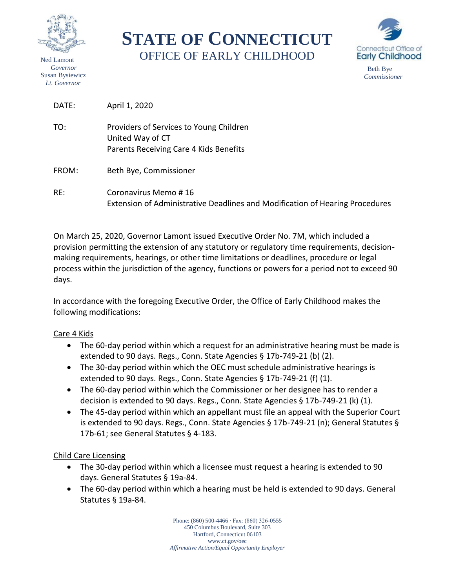

Ned Lamont  *Governor* Susan Bysiewicz  *Lt. Governor*

**STATE OF CONNECTICUT** OFFICE OF EARLY CHILDHOOD



 Beth Bye *Commissioner*

DATE: April 1, 2020

- TO: Providers of Services to Young Children United Way of CT Parents Receiving Care 4 Kids Benefits
- FROM: Beth Bye, Commissioner
- RE: Coronavirus Memo # 16 Extension of Administrative Deadlines and Modification of Hearing Procedures

On March 25, 2020, Governor Lamont issued Executive Order No. 7M, which included a provision permitting the extension of any statutory or regulatory time requirements, decisionmaking requirements, hearings, or other time limitations or deadlines, procedure or legal process within the jurisdiction of the agency, functions or powers for a period not to exceed 90 days.

In accordance with the foregoing Executive Order, the Office of Early Childhood makes the following modifications:

## Care 4 Kids

- The 60-day period within which a request for an administrative hearing must be made is extended to 90 days. Regs., Conn. State Agencies § 17b-749-21 (b) (2).
- The 30-day period within which the OEC must schedule administrative hearings is extended to 90 days. Regs., Conn. State Agencies § 17b-749-21 (f) (1).
- The 60-day period within which the Commissioner or her designee has to render a decision is extended to 90 days. Regs., Conn. State Agencies § 17b-749-21 (k) (1).
- The 45-day period within which an appellant must file an appeal with the Superior Court is extended to 90 days. Regs., Conn. State Agencies § 17b-749-21 (n); General Statutes § 17b-61; see General Statutes § 4-183.

## Child Care Licensing

- The 30-day period within which a licensee must request a hearing is extended to 90 days. General Statutes § 19a-84.
- The 60-day period within which a hearing must be held is extended to 90 days. General Statutes § 19a-84.

Phone: (860) 500-4466 ∙ Fax: (860) 326-0555 450 Columbus Boulevard, Suite 303 Hartford, Connecticut 06103 www.ct.gov/oec *Affirmative Action/Equal Opportunity Employer*